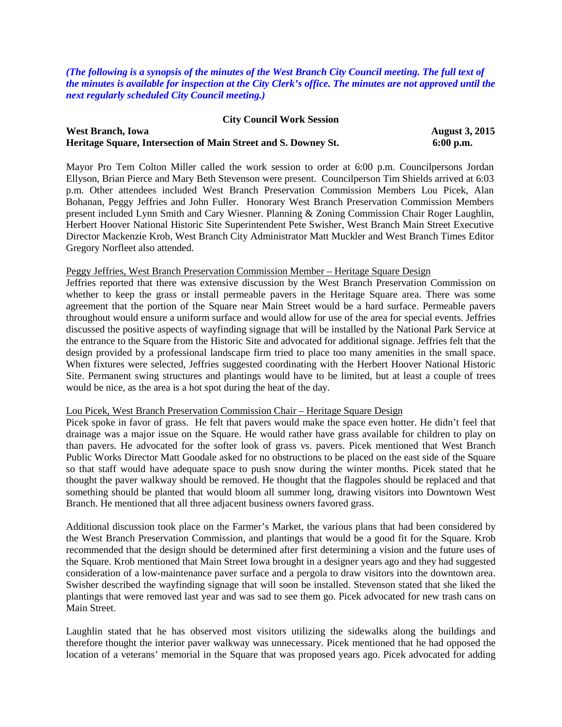*(The following is a synopsis of the minutes of the West Branch City Council meeting. The full text of the minutes is available for inspection at the City Clerk's office. The minutes are not approved until the next regularly scheduled City Council meeting.)*

## **City Council Work Session West Branch, Iowa August 3, 2015 Heritage Square, Intersection of Main Street and S. Downey St. 6:00 p.m.**

Mayor Pro Tem Colton Miller called the work session to order at 6:00 p.m. Councilpersons Jordan Ellyson, Brian Pierce and Mary Beth Stevenson were present. Councilperson Tim Shields arrived at 6:03 p.m. Other attendees included West Branch Preservation Commission Members Lou Picek, Alan Bohanan, Peggy Jeffries and John Fuller. Honorary West Branch Preservation Commission Members present included Lynn Smith and Cary Wiesner. Planning & Zoning Commission Chair Roger Laughlin, Herbert Hoover National Historic Site Superintendent Pete Swisher, West Branch Main Street Executive Director Mackenzie Krob, West Branch City Administrator Matt Muckler and West Branch Times Editor Gregory Norfleet also attended.

## Peggy Jeffries, West Branch Preservation Commission Member – Heritage Square Design

Jeffries reported that there was extensive discussion by the West Branch Preservation Commission on whether to keep the grass or install permeable pavers in the Heritage Square area. There was some agreement that the portion of the Square near Main Street would be a hard surface. Permeable pavers throughout would ensure a uniform surface and would allow for use of the area for special events. Jeffries discussed the positive aspects of wayfinding signage that will be installed by the National Park Service at the entrance to the Square from the Historic Site and advocated for additional signage. Jeffries felt that the design provided by a professional landscape firm tried to place too many amenities in the small space. When fixtures were selected, Jeffries suggested coordinating with the Herbert Hoover National Historic Site. Permanent swing structures and plantings would have to be limited, but at least a couple of trees would be nice, as the area is a hot spot during the heat of the day.

## Lou Picek, West Branch Preservation Commission Chair – Heritage Square Design

Picek spoke in favor of grass. He felt that pavers would make the space even hotter. He didn't feel that drainage was a major issue on the Square. He would rather have grass available for children to play on than pavers. He advocated for the softer look of grass vs. pavers. Picek mentioned that West Branch Public Works Director Matt Goodale asked for no obstructions to be placed on the east side of the Square so that staff would have adequate space to push snow during the winter months. Picek stated that he thought the paver walkway should be removed. He thought that the flagpoles should be replaced and that something should be planted that would bloom all summer long, drawing visitors into Downtown West Branch. He mentioned that all three adjacent business owners favored grass.

Additional discussion took place on the Farmer's Market, the various plans that had been considered by the West Branch Preservation Commission, and plantings that would be a good fit for the Square. Krob recommended that the design should be determined after first determining a vision and the future uses of the Square. Krob mentioned that Main Street Iowa brought in a designer years ago and they had suggested consideration of a low-maintenance paver surface and a pergola to draw visitors into the downtown area. Swisher described the wayfinding signage that will soon be installed. Stevenson stated that she liked the plantings that were removed last year and was sad to see them go. Picek advocated for new trash cans on Main Street.

Laughlin stated that he has observed most visitors utilizing the sidewalks along the buildings and therefore thought the interior paver walkway was unnecessary. Picek mentioned that he had opposed the location of a veterans' memorial in the Square that was proposed years ago. Picek advocated for adding